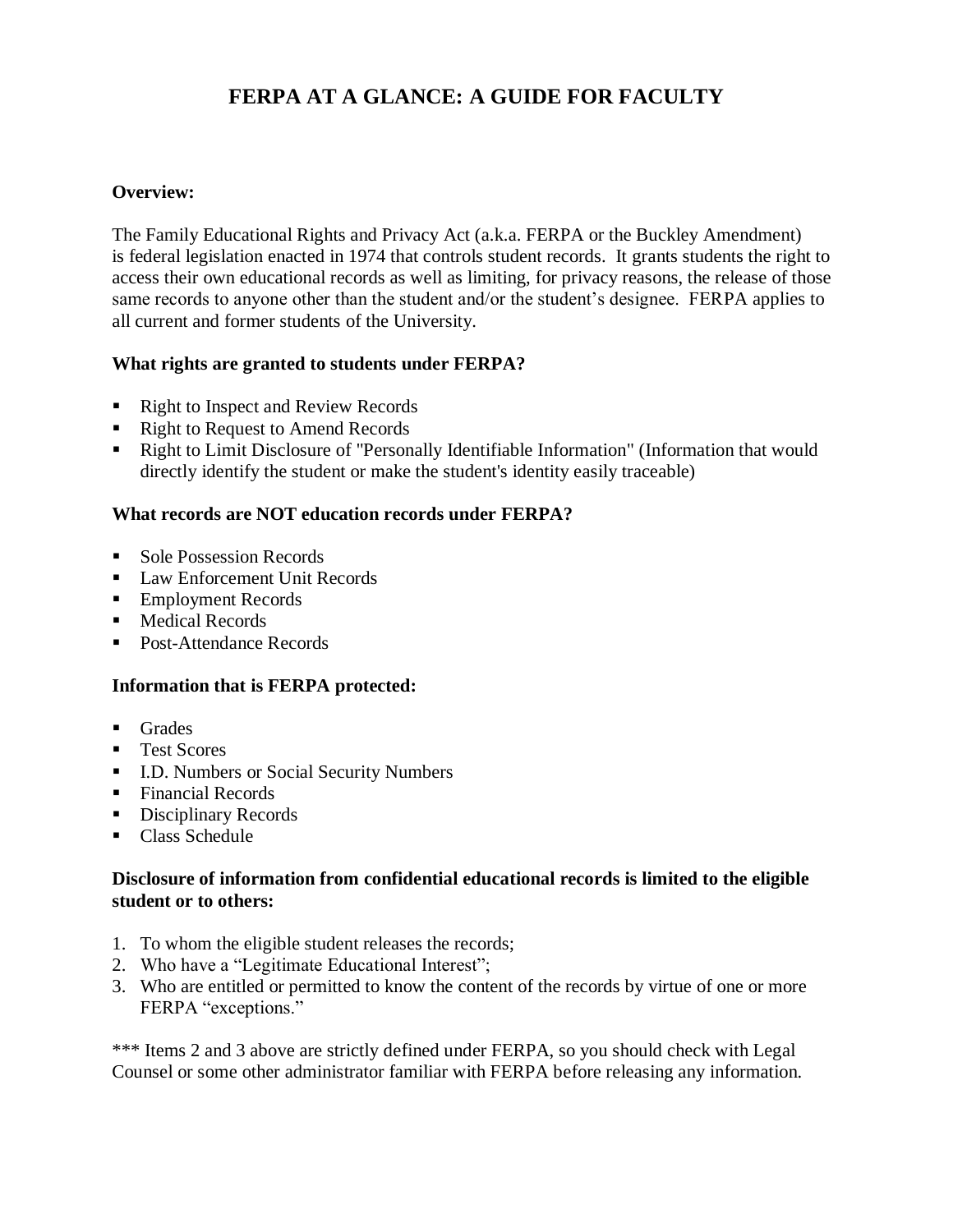# **FERPA AT A GLANCE: A GUIDE FOR FACULTY**

# **Overview:**

The Family Educational Rights and Privacy Act (a.k.a. FERPA or the Buckley Amendment) is federal legislation enacted in 1974 that controls student records. It grants students the right to access their own educational records as well as limiting, for privacy reasons, the release of those same records to anyone other than the student and/or the student's designee. FERPA applies to all current and former students of the University.

## **What rights are granted to students under FERPA?**

- Right to Inspect and Review Records
- Right to Request to Amend Records
- Right to Limit Disclosure of "Personally Identifiable Information" (Information that would directly identify the student or make the student's identity easily traceable)

## **What records are NOT education records under FERPA?**

- Sole Possession Records
- Law Enforcement Unit Records
- Employment Records
- Medical Records
- Post-Attendance Records

#### **Information that is FERPA protected:**

- Grades
- Test Scores
- I.D. Numbers or Social Security Numbers
- Financial Records
- Disciplinary Records
- Class Schedule

## **Disclosure of information from confidential educational records is limited to the eligible student or to others:**

- 1. To whom the eligible student releases the records;
- 2. Who have a "Legitimate Educational Interest";
- 3. Who are entitled or permitted to know the content of the records by virtue of one or more FERPA "exceptions."

\*\*\* Items 2 and 3 above are strictly defined under FERPA, so you should check with Legal Counsel or some other administrator familiar with FERPA before releasing any information.